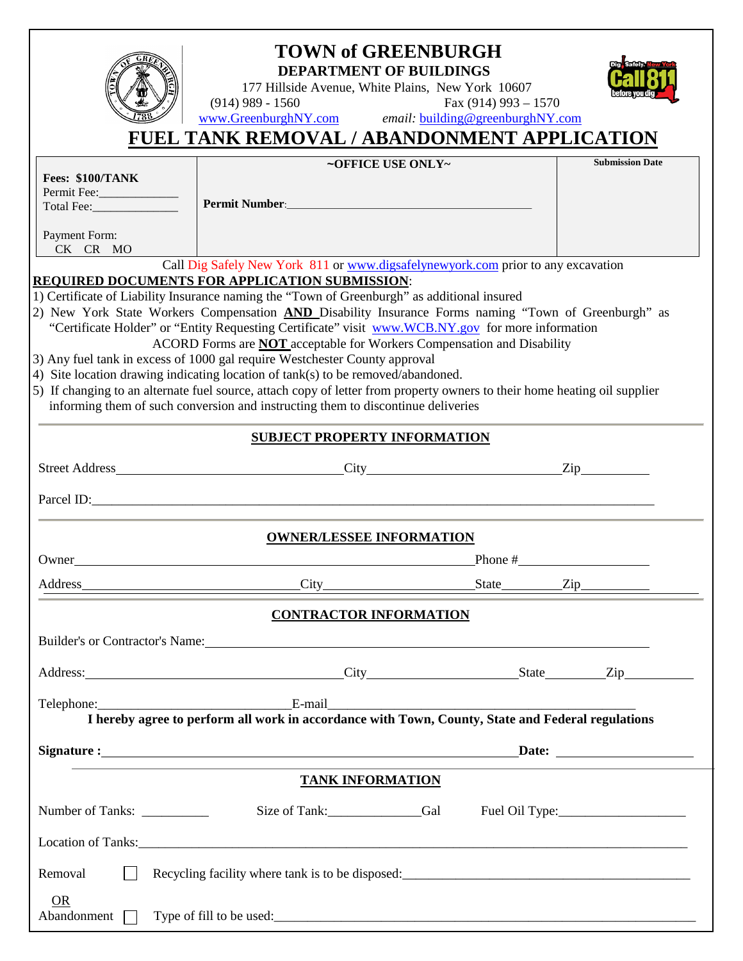|                                                                                                                                           | <b>TOWN of GREENBURGH</b><br><b>DEPARTMENT OF BUILDINGS</b><br>177 Hillside Avenue, White Plains, New York 10607<br>$(914)$ 989 - 1560                                                                                                                                                                                                                                                                                                                                                                                                                                                                                                                                                                                                                                              |  | Fax $(914)$ 993 - 1570 |                        |
|-------------------------------------------------------------------------------------------------------------------------------------------|-------------------------------------------------------------------------------------------------------------------------------------------------------------------------------------------------------------------------------------------------------------------------------------------------------------------------------------------------------------------------------------------------------------------------------------------------------------------------------------------------------------------------------------------------------------------------------------------------------------------------------------------------------------------------------------------------------------------------------------------------------------------------------------|--|------------------------|------------------------|
|                                                                                                                                           | www.GreenburghNY.com email: building@greenburghNY.com                                                                                                                                                                                                                                                                                                                                                                                                                                                                                                                                                                                                                                                                                                                               |  |                        |                        |
| FUEL TANK REMOVAL / ABANDONMENT APPLICATION                                                                                               |                                                                                                                                                                                                                                                                                                                                                                                                                                                                                                                                                                                                                                                                                                                                                                                     |  |                        |                        |
| Fees: \$100/TANK                                                                                                                          | ~OFFICE USE ONLY~                                                                                                                                                                                                                                                                                                                                                                                                                                                                                                                                                                                                                                                                                                                                                                   |  |                        | <b>Submission Date</b> |
| Permit Fee:                                                                                                                               |                                                                                                                                                                                                                                                                                                                                                                                                                                                                                                                                                                                                                                                                                                                                                                                     |  |                        |                        |
|                                                                                                                                           |                                                                                                                                                                                                                                                                                                                                                                                                                                                                                                                                                                                                                                                                                                                                                                                     |  |                        |                        |
| Payment Form:<br>CK CR MO                                                                                                                 |                                                                                                                                                                                                                                                                                                                                                                                                                                                                                                                                                                                                                                                                                                                                                                                     |  |                        |                        |
| Call Dig Safely New York 811 or www.digsafelynewyork.com prior to any excavation<br><b>REQUIRED DOCUMENTS FOR APPLICATION SUBMISSION:</b> |                                                                                                                                                                                                                                                                                                                                                                                                                                                                                                                                                                                                                                                                                                                                                                                     |  |                        |                        |
|                                                                                                                                           | 1) Certificate of Liability Insurance naming the "Town of Greenburgh" as additional insured<br>2) New York State Workers Compensation <b>AND</b> Disability Insurance Forms naming "Town of Greenburgh" as<br>"Certificate Holder" or "Entity Requesting Certificate" visit www.WCB.NY.gov for more information<br>ACORD Forms are <b>NOT</b> acceptable for Workers Compensation and Disability<br>3) Any fuel tank in excess of 1000 gal require Westchester County approval<br>4) Site location drawing indicating location of tank(s) to be removed/abandoned.<br>5) If changing to an alternate fuel source, attach copy of letter from property owners to their home heating oil supplier<br>informing them of such conversion and instructing them to discontinue deliveries |  |                        |                        |
| <b>SUBJECT PROPERTY INFORMATION</b>                                                                                                       |                                                                                                                                                                                                                                                                                                                                                                                                                                                                                                                                                                                                                                                                                                                                                                                     |  |                        |                        |
|                                                                                                                                           |                                                                                                                                                                                                                                                                                                                                                                                                                                                                                                                                                                                                                                                                                                                                                                                     |  |                        |                        |
|                                                                                                                                           |                                                                                                                                                                                                                                                                                                                                                                                                                                                                                                                                                                                                                                                                                                                                                                                     |  |                        |                        |
|                                                                                                                                           | <b>OWNER/LESSEE INFORMATION</b>                                                                                                                                                                                                                                                                                                                                                                                                                                                                                                                                                                                                                                                                                                                                                     |  |                        |                        |
| Owner                                                                                                                                     |                                                                                                                                                                                                                                                                                                                                                                                                                                                                                                                                                                                                                                                                                                                                                                                     |  | Phone $\#$             |                        |
|                                                                                                                                           |                                                                                                                                                                                                                                                                                                                                                                                                                                                                                                                                                                                                                                                                                                                                                                                     |  |                        | City State Zip         |
|                                                                                                                                           | <b>CONTRACTOR INFORMATION</b>                                                                                                                                                                                                                                                                                                                                                                                                                                                                                                                                                                                                                                                                                                                                                       |  |                        |                        |
|                                                                                                                                           | Builder's or Contractor's Name: 1988 Contractor's Name:                                                                                                                                                                                                                                                                                                                                                                                                                                                                                                                                                                                                                                                                                                                             |  |                        |                        |
|                                                                                                                                           | Address: City City State Zip                                                                                                                                                                                                                                                                                                                                                                                                                                                                                                                                                                                                                                                                                                                                                        |  |                        |                        |
|                                                                                                                                           |                                                                                                                                                                                                                                                                                                                                                                                                                                                                                                                                                                                                                                                                                                                                                                                     |  |                        |                        |
|                                                                                                                                           | I hereby agree to perform all work in accordance with Town, County, State and Federal regulations                                                                                                                                                                                                                                                                                                                                                                                                                                                                                                                                                                                                                                                                                   |  |                        |                        |
|                                                                                                                                           |                                                                                                                                                                                                                                                                                                                                                                                                                                                                                                                                                                                                                                                                                                                                                                                     |  |                        |                        |
| <b>TANK INFORMATION</b>                                                                                                                   |                                                                                                                                                                                                                                                                                                                                                                                                                                                                                                                                                                                                                                                                                                                                                                                     |  |                        |                        |
|                                                                                                                                           |                                                                                                                                                                                                                                                                                                                                                                                                                                                                                                                                                                                                                                                                                                                                                                                     |  |                        |                        |
|                                                                                                                                           |                                                                                                                                                                                                                                                                                                                                                                                                                                                                                                                                                                                                                                                                                                                                                                                     |  |                        |                        |
| Removal<br>Recycling facility where tank is to be disposed:<br><u>Example 2016</u>                                                        |                                                                                                                                                                                                                                                                                                                                                                                                                                                                                                                                                                                                                                                                                                                                                                                     |  |                        |                        |
| OR<br>Abandonment $\Box$                                                                                                                  |                                                                                                                                                                                                                                                                                                                                                                                                                                                                                                                                                                                                                                                                                                                                                                                     |  |                        |                        |